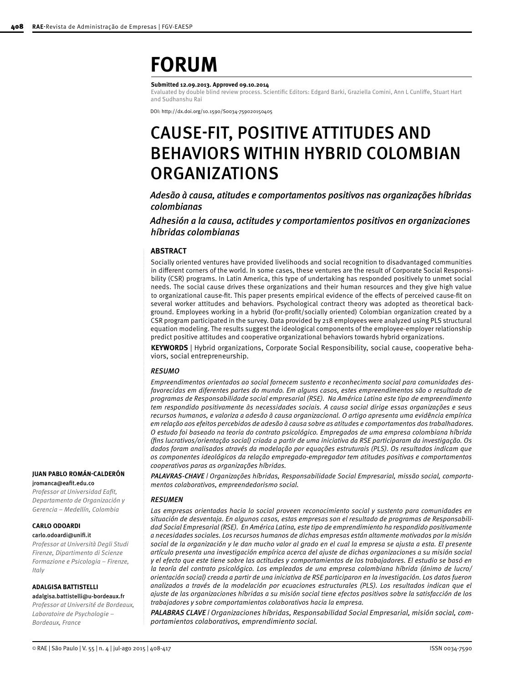# **FORUM**

#### **Submitted 12.09.2013. Approved 09.10.2014**

Evaluated by double blind review process. Scientific Editors: Edgard Barki, Graziella Comini, Ann L Cunliffe, Stuart Hart and Sudhanshu Rai

DOI: http://dx.doi.org/10.1590/S0034-759020150405

# CAUSE-FIT, POSITIVE ATTITUDES AND BEHAVIORS WITHIN HYBRID COLOMBIAN ORGANIZATIONS

### *Adesão à causa, atitudes e comportamentos positivos nas organizações híbridas colombianas*

### *Adhesión a la causa, actitudes y comportamientos positivos en organizaciones híbridas colombianas*

### **ABSTRACT**

Socially oriented ventures have provided livelihoods and social recognition to disadvantaged communities in different corners of the world. In some cases, these ventures are the result of Corporate Social Responsibility (CSR) programs. In Latin America, this type of undertaking has responded positively to unmet social needs. The social cause drives these organizations and their human resources and they give high value to organizational cause-fit. This paper presents empirical evidence of the effects of perceived cause-fit on several worker attitudes and behaviors. Psychological contract theory was adopted as theoretical background. Employees working in a hybrid (for-profit/socially oriented) Colombian organization created by a CSR program participated in the survey. Data provided by 218 employees were analyzed using PLS structural equation modeling. The results suggest the ideological components of the employee-employer relationship predict positive attitudes and cooperative organizational behaviors towards hybrid organizations.

**KEYWORDS** | Hybrid organizations, Corporate Social Responsibility, social cause, cooperative behaviors, social entrepreneurship.

### *RESUMO*

*Empreendimentos orientados ao social fornecem sustento e reconhecimento social para comunidades desfavorecidas em diferentes partes do mundo. Em alguns casos, estes empreendimentos são o resultado de programas de Responsabilidade social empresarial (RSE). Na América Latina este tipo de empreendimento tem respondido positivamente às necessidades sociais. A causa social dirige essas organizações e seus recursos humanos, e valoriza a adesão à causa organizacional. O artigo apresenta uma evidência empírica em relação aos efeitos percebidos de adesão à causa sobre as atitudes e comportamentos dos trabalhadores. O estudo foi baseado na teoria do contrato psicológico. Empregados de uma empresa colombiana híbrida (fins lucrativos/orientação social) criada a partir de uma iniciativa da RSE participaram da investigação. Os dados foram analisados através da modelação por equações estruturais (PLS). Os resultados indicam que os componentes ideológicos da relação empregado-empregador tem atitudes positivas e comportamentos cooperativos paras as organizações híbridas.*

*PALAVRAS-CHAVE | Organizações híbridas, Responsabilidade Social Empresarial, missão social, comportamentos colaborativos, empreendedorismo social.*

### *RESUMEN*

*Las empresas orientadas hacia lo social proveen reconocimiento social y sustento para comunidades en situación de desventaja. En algunos casos, estas empresas son el resultado de programas de Responsabilidad Social Empresarial (RSE). En América Latina, este tipo de emprendimiento ha respondido positivamente a necesidades sociales. Los recursos humanos de dichas empresas están altamente motivados por la misión social de la organización y le dan mucho valor al grado en el cual la empresa se ajusta a esta. El presente artículo presenta una investigación empírica acerca del ajuste de dichas organizaciones a su misión social y el efecto que este tiene sobre las actitudes y comportamientos de los trabajadores. El estudio se basó en la teoría del contrato psicológico. Los empleados de una empresa colombiana híbrida (ánimo de lucro/ orientación social) creada a partir de una iniciativa de RSE participaron en la investigación. Los datos fueron analizados a través de la modelación por ecuaciones estructurales (PLS). Los resultados indican que el ajuste de las organizaciones híbridas a su misión social tiene efectos positivos sobre la satisfacción de los trabajadores y sobre comportamientos colaborativos hacia la empresa.*

*PALABRAS CLAVE | Organizaciones híbridas, Responsabilidad Social Empresarial, misión social, comportamientos colaborativos, emprendimiento social.*

# **JUAN PABLO ROMÁN-CALDERÓN**

[jromanca@eafit.edu.co](mailto:jromanca@eafit.edu.co)

*Professor at Universidad Eafit, Departamento de Organización y Gerencia – Medellín, Colombia*

### **CARLO ODOARDI**  [carlo.odoardi@unifi.it](mailto:carlo.odoardi@unifi.it)

*Professor at Università Degli Studi Firenze, Dipartimento di Scienze Formazione e Psicologia – Firenze, Italy*

### **ADALGISA BATTISTELLI**

adalgisa.battistelli@u-bordeaux.fr *Professor at Université de Bordeaux, Laboratoire de Psychologie – Bordeaux, France*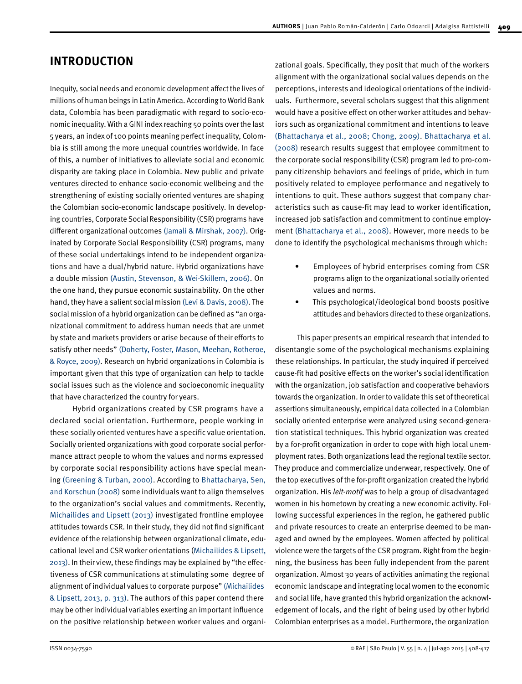# **INTRODUCTION**

Inequity, social needs and economic development affect the lives of millions of human beings in Latin America. According to World Bank data, Colombia has been paradigmatic with regard to socio-economic inequality. With a GINI index reaching 50 points over the last 5 years, an index of 100 points meaning perfect inequality, Colombia is still among the more unequal countries worldwide. In face of this, a number of initiatives to alleviate social and economic disparity are taking place in Colombia. New public and private ventures directed to enhance socio-economic wellbeing and the strengthening of existing socially oriented ventures are shaping the Colombian socio-economic landscape positively. In developing countries, Corporate Social Responsibility (CSR) programs have different organizational outcomes [\(Jamali & Mirshak, 2007\)](#page-8-0). Originated by Corporate Social Responsibility (CSR) programs, many of these social undertakings intend to be independent organizations and have a dual/hybrid nature. Hybrid organizations have a double missio[n \(Austin, Stevenson, & Wei-Skillern, 2006\)](#page-8-0). On the one hand, they pursue economic sustainability. On the other hand, they have a salient social mission [\(Levi & Davis, 2008\)](#page-8-0). The social mission of a hybrid organization can be defined as "an organizational commitment to address human needs that are unmet by state and markets providers or arise because of their efforts to satisfy other needs" [\(Doherty, Foster, Mason, Meehan, Rotheroe,](#page-8-0) [& Royce, 2009\)](#page-8-0). Research on hybrid organizations in Colombia is important given that this type of organization can help to tackle social issues such as the violence and socioeconomic inequality that have characterized the country for years.

Hybrid organizations created by CSR programs have a declared social orientation. Furthermore, people working in these socially oriented ventures have a specific value orientation. Socially oriented organizations with good corporate social performance attract people to whom the values and norms expressed by corporate social responsibility actions have special meaning [\(Greening & Turban, 2000\).](#page-8-0) According to [Bhattacharya, Sen,](#page-8-0) [and Korschun \(2008\)](#page-8-0) some individuals want to align themselves to the organization's social values and commitments. Recently, [Michailides and Lipsett \(2013\)](#page-8-0) investigated frontline employee attitudes towards CSR. In their study, they did not find significant evidence of the relationship between organizational climate, educational level and CSR worker orientations ([Michailides & Lipsett,](#page-8-0) [2013\)](#page-8-0). In their view, these findings may be explained by "the effectiveness of CSR communications at stimulating some degree of alignment of individual values to corporate purpose" [\(Michailides](#page-8-0)  [& Lipsett, 2013, p. 313\).](#page-8-0) The authors of this paper contend there may be other individual variables exerting an important influence on the positive relationship between worker values and organizational goals. Specifically, they posit that much of the workers alignment with the organizational social values depends on the perceptions, interests and ideological orientations of the individuals. Furthermore, several scholars suggest that this alignment would have a positive effect on other worker attitudes and behaviors such as organizational commitment and intentions to leave [\(Bhattacharya et al., 2008; Chong, 2009\)](#page-8-0). [Bhattacharya et al.](#page-8-0) [\(2008\)](#page-8-0) research results suggest that employee commitment to the corporate social responsibility (CSR) program led to pro-company citizenship behaviors and feelings of pride, which in turn positively related to employee performance and negatively to intentions to quit. These authors suggest that company characteristics such as cause-fit may lead to worker identification, increased job satisfaction and commitment to continue employment [\(Bhattacharya et al., 2008\).](#page-8-0) However, more needs to be done to identify the psychological mechanisms through which:

- Employees of hybrid enterprises coming from CSR programs align to the organizational socially oriented values and norms.
- This psychological/ideological bond boosts positive attitudes and behaviors directed to these organizations.

This paper presents an empirical research that intended to disentangle some of the psychological mechanisms explaining these relationships. In particular, the study inquired if perceived cause-fit had positive effects on the worker's social identification with the organization, job satisfaction and cooperative behaviors towards the organization. In order to validate this set of theoretical assertions simultaneously, empirical data collected in a Colombian socially oriented enterprise were analyzed using second-generation statistical techniques. This hybrid organization was created by a for-profit organization in order to cope with high local unemployment rates. Both organizations lead the regional textile sector. They produce and commercialize underwear, respectively. One of the top executives of the for-profit organization created the hybrid organization. His *leit-motif* was to help a group of disadvantaged women in his hometown by creating a new economic activity. Following successful experiences in the region, he gathered public and private resources to create an enterprise deemed to be managed and owned by the employees. Women affected by political violence were the targets of the CSR program. Right from the beginning, the business has been fully independent from the parent organization. Almost 30 years of activities animating the regional economic landscape and integrating local women to the economic and social life, have granted this hybrid organization the acknowledgement of locals, and the right of being used by other hybrid Colombian enterprises as a model. Furthermore, the organization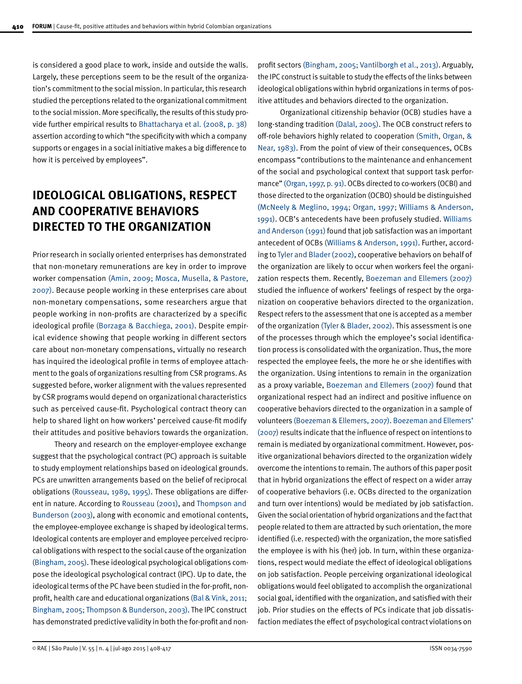is considered a good place to work, inside and outside the walls. Largely, these perceptions seem to be the result of the organization's commitment to the social mission. In particular, this research studied the perceptions related to the organizational commitment to the social mission. More specifically, the results of this study provide further empirical results to [Bhattacharya et al. \(2008, p. 38\)](#page-8-0)  assertion according to which "the specificity with which a company supports or engages in a social initiative makes a big difference to how it is perceived by employees".

# **IDEOLOGICAL OBLIGATIONS, RESPECT AND COOPERATIVE BEHAVIORS DIRECTED TO THE ORGANIZATION**

Prior research in socially oriented enterprises has demonstrated that non-monetary remunerations are key in order to improve worker compensation [\(Amin, 2009;](#page-8-0) [Mosca, Musella, & Pastore,](#page-9-0) [2007\)](#page-9-0). Because people working in these enterprises care about non-monetary compensations, some researchers argue that people working in non-profits are characterized by a specific ideological profile [\(Borzaga & Bacchiega, 2001\).](#page-8-0) Despite empirical evidence showing that people working in different sectors care about non-monetary compensations, virtually no research has inquired the ideological profile in terms of employee attachment to the goals of organizations resulting from CSR programs. As suggested before, worker alignment with the values represented by CSR programs would depend on organizational characteristics such as perceived cause-fit. Psychological contract theory can help to shared light on how workers' perceived cause-fit modify their attitudes and positive behaviors towards the organization.

Theory and research on the employer-employee exchange suggest that the psychological contract (PC) approach is suitable to study employment relationships based on ideological grounds. PCs are unwritten arrangements based on the belief of reciprocal obligations [\(Rousseau, 1989, 1995\).](#page-9-0) These obligations are different in nature. According to [Rousseau \(2001\)](#page-9-0), and [Thompson and](#page-9-0)  [Bunderson \(2003\),](#page-9-0) along with economic and emotional contents, the employee-employee exchange is shaped by ideological terms. Ideological contents are employer and employee perceived reciprocal obligations with respect to the social cause of the organization [\(Bingham, 2005\).](#page-8-0) These ideological psychological obligations compose the ideological psychological contract (IPC). Up to date, the ideological terms of the PC have been studied in the for-profit, nonprofit, health care and educational organizations [\(Bal & Vink, 2011;](#page-8-0)  [Bingham, 2005;](#page-8-0) [Thompson & Bunderson, 2003\)](#page-9-0). The IPC construct has demonstrated predictive validity in both the for-profit and nonprofit sectors [\(Bingham, 2005;](#page-8-0) [Vantilborgh et al., 2013\)](#page-9-0). Arguably, the IPC construct is suitable to study the effects of the links between ideological obligations within hybrid organizations in terms of positive attitudes and behaviors directed to the organization.

Organizational citizenship behavior (OCB) studies have a long-standing tradition [\(Dalal, 2005\).](#page-8-0) The OCB construct refers to off-role behaviors highly related to cooperation [\(Smith, Organ, &](#page-9-0)  [Near, 1983\).](#page-9-0) From the point of view of their consequences, OCBs encompass "contributions to the maintenance and enhancement of the social and psychological context that support task performance" [\(Organ, 1997, p. 91\)](#page-9-0). OCBs directed to co-workers (OCBI) and those directed to the organization (OCBO) should be distinguished [\(McNeely & Meglino, 1994; Organ, 1997; Williams & Anderson,](#page-9-0) [1991\).](#page-9-0) OCB's antecedents have been profusely studied. [Williams](#page-9-0)  [and Anderson \(1991\)](#page-9-0) found that job satisfaction was an important antecedent of OCBs [\(Williams & Anderson, 1991\).](#page-9-0) Further, according to [Tyler and Blader \(2002\)](#page-9-0), cooperative behaviors on behalf of the organization are likely to occur when workers feel the organization respects them. Recently, [Boezeman and Ellemers \(2007\)](#page-8-0) studied the influence of workers' feelings of respect by the organization on cooperative behaviors directed to the organization. Respect refers to the assessment that one is accepted as a member of the organization [\(Tyler & Blader, 2002\)](#page-9-0). This assessment is one of the processes through which the employee's social identification process is consolidated with the organization. Thus, the more respected the employee feels, the more he or she identifies with the organization. Using intentions to remain in the organization as a proxy variable, [Boezeman and Ellemers \(2007\)](#page-8-0) found that organizational respect had an indirect and positive influence on cooperative behaviors directed to the organization in a sample of volunteers [\(Boezeman & Ellemers, 2007\)](#page-8-0). [Boezeman and Ellemers'](#page-8-0) [\(2007\)](#page-8-0) results indicate that the influence of respect on intentions to remain is mediated by organizational commitment. However, positive organizational behaviors directed to the organization widely overcome the intentions to remain. The authors of this paper posit that in hybrid organizations the effect of respect on a wider array of cooperative behaviors (i.e. OCBs directed to the organization and turn over intentions) would be mediated by job satisfaction. Given the social orientation of hybrid organizations and the fact that people related to them are attracted by such orientation, the more identified (i.e. respected) with the organization, the more satisfied the employee is with his (her) job. In turn, within these organizations, respect would mediate the effect of ideological obligations on job satisfaction. People perceiving organizational ideological obligations would feel obligated to accomplish the organizational social goal, identified with the organization, and satisfied with their job. Prior studies on the effects of PCs indicate that job dissatisfaction mediates the effect of psychological contract violations on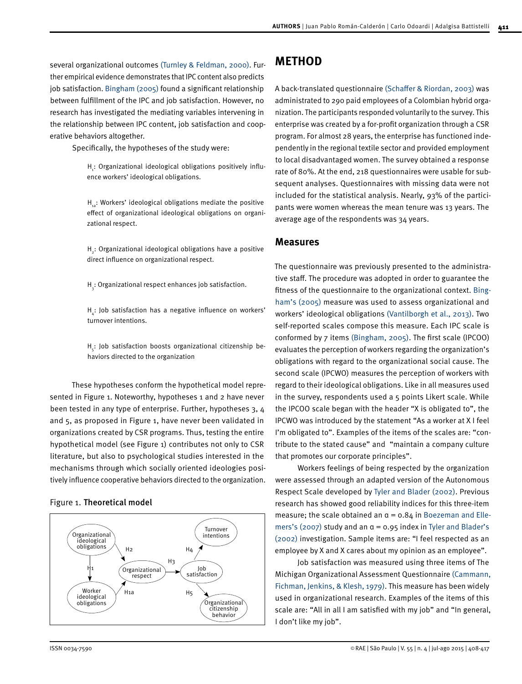several organizational outcomes [\(Turnley & Feldman, 2000\)](#page-9-0). Further empirical evidence demonstrates that IPC content also predicts job satisfaction. [Bingham \(2005\)](#page-8-0) found a significant relationship between fulfillment of the IPC and job satisfaction. However, no research has investigated the mediating variables intervening in the relationship between IPC content, job satisfaction and cooperative behaviors altogether.

Specifically, the hypotheses of the study were:

 ${\sf H}_i$ : Organizational ideological obligations positively influence workers' ideological obligations.

 $H_{1a}$ : Workers' ideological obligations mediate the positive effect of organizational ideological obligations on organizational respect.

 $\texttt{H}_{\texttt{2}}$ : Organizational ideological obligations have a positive direct influence on organizational respect.

 $\mathsf{H}_{_\mathsf{\bar{3}}}\mathsf{:}$  Organizational respect enhances job satisfaction.

 $H_{\frac{4}{4}}$ : Job satisfaction has a negative influence on workers' turnover intentions.

 $\boldsymbol{\mathsf{H}}_{\boldsymbol{\varsigma}}$ : Job satisfaction boosts organizational citizenship behaviors directed to the organization

These hypotheses conform the hypothetical model represented in Figure 1. Noteworthy, hypotheses 1 and 2 have never been tested in any type of enterprise. Further, hypotheses 3, 4 and 5, as proposed in Figure 1, have never been validated in organizations created by CSR programs. Thus, testing the entire hypothetical model (see Figure 1) contributes not only to CSR literature, but also to psychological studies interested in the mechanisms through which socially oriented ideologies positively influence cooperative behaviors directed to the organization.

### Figure 1. Theoretical model



# **METHOD**

A back-translated questionnaire [\(Schaffer & Riordan, 2003\)](#page-9-0) was administrated to 290 paid employees of a Colombian hybrid organization. The participants responded voluntarily to the survey. This enterprise was created by a for-profit organization through a CSR program. For almost 28 years, the enterprise has functioned independently in the regional textile sector and provided employment to local disadvantaged women. The survey obtained a response rate of 80%. At the end, 218 questionnaires were usable for subsequent analyses. Questionnaires with missing data were not included for the statistical analysis. Nearly, 93% of the participants were women whereas the mean tenure was 13 years. The average age of the respondents was 34 years.

### **Measures**

The questionnaire was previously presented to the administrative staff. The procedure was adopted in order to guarantee the fitness of the questionnaire to the organizational context. [Bing](#page-8-0)[ham's \(2005\)](#page-8-0) measure was used to assess organizational and workers' ideological obligations [\(Vantilborgh et al., 2013\)](#page-9-0). Two self-reported scales compose this measure. Each IPC scale is conformed by 7 items [\(Bingham, 2005\)](#page-8-0). The first scale (IPCOO) evaluates the perception of workers regarding the organization's obligations with regard to the organizational social cause. The second scale (IPCWO) measures the perception of workers with regard to their ideological obligations. Like in all measures used in the survey, respondents used a 5 points Likert scale. While the IPCOO scale began with the header "X is obligated to", the IPCWO was introduced by the statement "As a worker at X I feel I'm obligated to". Examples of the items of the scales are: "contribute to the stated cause" and "maintain a company culture that promotes our corporate principles".

Workers feelings of being respected by the organization were assessed through an adapted version of the Autonomous Respect Scale developed by [Tyler and Blader \(2002\)](#page-9-0). Previous research has showed good reliability indices for this three-item measure; the scale obtained an  $\alpha$  = 0.84 in [Boezeman and Elle](#page-8-0)[mers's \(2007\)](#page-8-0) study and an  $\alpha$  = 0.95 index in [Tyler and Blader's](#page-9-0) [\(2002\)](#page-9-0) investigation. Sample items are: "I feel respected as an employee by X and X cares about my opinion as an employee".

Job satisfaction was measured using three items of The Michigan Organizational Assessment Questionnaire [\(Cammann,](#page-8-0) [Fichman, Jenkins, & Klesh, 1979\).](#page-8-0) This measure has been widely used in organizational research. Examples of the items of this scale are: "All in all I am satisfied with my job" and "In general, I don't like my job".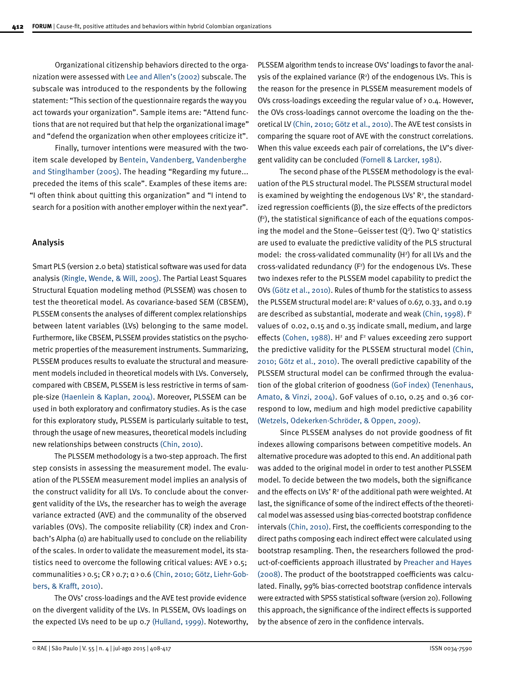Organizational citizenship behaviors directed to the organization were assessed with [Lee and Allen's \(2002\)](#page-8-0) subscale. The subscale was introduced to the respondents by the following statement: "This section of the questionnaire regards the way you act towards your organization". Sample items are: "Attend functions that are not required but that help the organizational image" and "defend the organization when other employees criticize it".

Finally, turnover intentions were measured with the twoitem scale developed by [Bentein, Vandenberg, Vandenberghe](#page-8-0)  [and Stinglhamber \(2005\)](#page-8-0). The heading "Regarding my future... preceded the items of this scale". Examples of these items are: "I often think about quitting this organization" and "I intend to search for a position with another employer within the next year".

### Analysis

Smart PLS (version 2.0 beta) statistical software was used for data analysis [\(Ringle, Wende, & Will, 2005\)](#page-9-0). The Partial Least Squares Structural Equation modeling method (PLSSEM) was chosen to test the theoretical model. As covariance-based SEM (CBSEM), PLSSEM consents the analyses of different complex relationships between latent variables (LVs) belonging to the same model. Furthermore, like CBSEM, PLSSEM provides statistics on the psychometric properties of the measurement instruments. Summarizing, PLSSEM produces results to evaluate the structural and measurement models included in theoretical models with LVs. Conversely, compared with CBSEM, PLSSEM is less restrictive in terms of sample-size [\(Haenlein & Kaplan, 2004\)](#page-8-0). Moreover, PLSSEM can be used in both exploratory and confirmatory studies. As is the case for this exploratory study, PLSSEM is particularly suitable to test, through the usage of new measures, theoretical models including new relationships between constructs [\(Chin, 2010\)](#page-8-0).

The PLSSEM methodology is a two-step approach. The first step consists in assessing the measurement model. The evaluation of the PLSSEM measurement model implies an analysis of the construct validity for all LVs. To conclude about the convergent validity of the LVs, the researcher has to weigh the average variance extracted (AVE) and the communality of the observed variables (OVs). The composite reliability (CR) index and Cronbach's Alpha (α) are habitually used to conclude on the reliability of the scales. In order to validate the measurement model, its statistics need to overcome the following critical values:  $AVE > 0.5$ ; communalities > 0.5; CR > 0.7; α > 0.6 [\(Chin, 2010; Götz, Liehr-Gob](#page-8-0)[bers, & Krafft, 2010\).](#page-8-0)

The OVs' cross-loadings and the AVE test provide evidence on the divergent validity of the LVs. In PLSSEM, OVs loadings on the expected LVs need to be up 0.7 [\(Hulland, 1999\).](#page-8-0) Noteworthy, PLSSEM algorithm tends to increase OVs' loadings to favor the analysis of the explained variance  $(R^2)$  of the endogenous LVs. This is the reason for the presence in PLSSEM measurement models of OVs cross-loadings exceeding the regular value of > 0.4. However, the OVs cross-loadings cannot overcome the loading on the theoretical LV [\(Chin, 2010; Götz et al., 2010\).](#page-8-0) The AVE test consists in comparing the square root of AVE with the construct correlations. When this value exceeds each pair of correlations, the LV's divergent validity can be conclude[d \(Fornell & Larcker, 1981\)](#page-8-0).

The second phase of the PLSSEM methodology is the evaluation of the PLS structural model. The PLSSEM structural model is examined by weighting the endogenous LVs'  $\mathsf{R}^2$ , the standardized regression coefficients (β), the size effects of the predictors  $(f<sup>2</sup>)$ , the statistical significance of each of the equations composing the model and the Stone–Geisser test  $(Q^2)$ . Two  $Q^2$  statistics are used to evaluate the predictive validity of the PLS structural model: the cross-validated communality  $(H^2)$  for all LVs and the  $cross-validated$  redundancy  $(F<sup>2</sup>)$  for the endogenous LVs. These two indexes refer to the PLSSEM model capability to predict the OVs [\(Götz et al., 2010\)](#page-8-0). Rules of thumb for the statistics to assess the PLSSEM structural model are:  $R^2$  values of 0.67, 0.33, and 0.19 are described as substantial, moderate and weak [\(Chin, 1998\).](#page-8-0) f<sup>2</sup> values of 0.02, 0.15 and 0.35 indicate small, medium, and large effects [\(Cohen, 1988\)](#page-8-0).  $H^2$  and  $F^2$  values exceeding zero support the predictive validity for the PLSSEM structural model [\(Chin,](#page-8-0) [2010; Götz et al., 2010\).](#page-8-0) The overall predictive capability of the PLSSEM structural model can be confirmed through the evaluation of the global criterion of goodness [\(GoF index\) \(Tenenhaus,](#page-8-0) [Amato, & Vinzi, 2004\)](#page-8-0). GoF values of 0.10, 0.25 and 0.36 correspond to low, medium and high model predictive capability [\(Wetzels, Odekerken-Schröder, & Oppen, 2009\)](#page-9-0).

Since PLSSEM analyses do not provide goodness of fit indexes allowing comparisons between competitive models. An alternative procedure was adopted to this end. An additional path was added to the original model in order to test another PLSSEM model. To decide between the two models, both the significance and the effects on LVs'  $R^2$  of the additional path were weighted. At last, the significance of some of the indirect effects of the theoretical model was assessed using bias-corrected bootstrap confidence intervals [\(Chin, 2010\)](#page-8-0). First, the coefficients corresponding to the direct paths composing each indirect effect were calculated using bootstrap resampling. Then, the researchers followed the product-of-coefficients approach illustrated by [Preacher and Hayes](#page-9-0)  [\(2008\).](#page-9-0) The product of the bootstrapped coefficients was calculated. Finally, 99% bias-corrected bootstrap confidence intervals were extracted with SPSS statistical software (version 20). Following this approach, the significance of the indirect effects is supported by the absence of zero in the confidence intervals.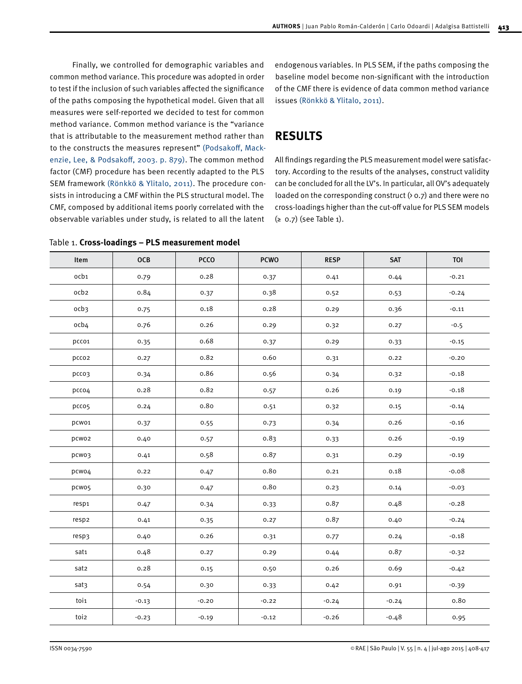Finally, we controlled for demographic variables and common method variance. This procedure was adopted in order to test if the inclusion of such variables affected the significance of the paths composing the hypothetical model. Given that all measures were self-reported we decided to test for common method variance. Common method variance is the "variance that is attributable to the measurement method rather than to the constructs the measures represent" [\(Podsakoff, Mack](#page-9-0)[enzie, Lee, & Podsakoff, 2003. p. 879\)](#page-9-0). The common method factor (CMF) procedure has been recently adapted to the PLS SEM framework [\(Rönkkö & Ylitalo, 2011\).](#page-9-0) The procedure consists in introducing a CMF within the PLS structural model. The CMF, composed by additional items poorly correlated with the observable variables under study, is related to all the latent

Table 1. **Cross-loadings – PLS measurement model**

endogenous variables. In PLS SEM, if the paths composing the baseline model become non-significant with the introduction of the CMF there is evidence of data common method variance issues [\(Rönkkö & Ylitalo, 2011\).](#page-9-0)

# **RESULTS**

All findings regarding the PLS measurement model were satisfactory. According to the results of the analyses, construct validity can be concluded for all the LV's. In particular, all OV's adequately loaded on the corresponding construct  $($  o  $,$   $7)$  and there were no cross-loadings higher than the cut-off value for PLS SEM models (≥ 0.7) (see Table 1).

| Item              | OCB     | PCCO    | <b>PCWO</b> | <b>RESP</b> | SAT     | TOI     |
|-------------------|---------|---------|-------------|-------------|---------|---------|
| ocb1              | 0.79    | 0.28    | 0.37        | 0.41        | 0.44    | $-0.21$ |
| ocb2              | 0.84    | 0.37    | 0.38        | 0.52        | 0.53    | $-0.24$ |
| ocb <sub>3</sub>  | 0.75    | 0.18    | 0.28        | 0.29        | 0.36    | $-0.11$ |
| ocb4              | 0.76    | 0.26    | 0.29        | 0.32        | 0.27    | $-0.5$  |
| pcco1             | 0.35    | 0.68    | 0.37        | 0.29        | 0.33    | $-0.15$ |
| pcco2             | 0.27    | 0.82    | 0.60        | 0.31        | 0.22    | $-0.20$ |
| pcco3             | 0.34    | 0.86    | 0.56        | 0.34        | 0.32    | $-0.18$ |
| pcco4             | 0.28    | 0.82    | 0.57        | 0.26        | 0.19    | $-0.18$ |
| pcco5             | 0.24    | 0.80    | 0.51        | 0.32        | 0.15    | $-0.14$ |
| pcwo1             | 0.37    | 0.55    | 0.73        | 0.34        | 0.26    | $-0.16$ |
| pcwo2             | 0.40    | 0.57    | 0.83        | 0.33        | 0.26    | $-0.19$ |
| pcwo3             | 0.41    | 0.58    | 0.87        | 0.31        | 0.29    | $-0.19$ |
| pcwo4             | 0.22    | 0.47    | 0.80        | 0.21        | 0.18    | $-0.08$ |
| pcwo5             | 0.30    | 0.47    | 0.80        | 0.23        | 0.14    | $-0.03$ |
| resp <sub>1</sub> | 0.47    | 0.34    | 0.33        | 0.87        | 0.48    | $-0.28$ |
| resp2             | 0.41    | 0.35    | 0.27        | 0.87        | 0.40    | $-0.24$ |
| resp3             | 0.40    | 0.26    | 0.31        | 0.77        | 0.24    | $-0.18$ |
| sat1              | 0.48    | 0.27    | 0.29        | 0.44        | 0.87    | $-0.32$ |
| sat2              | 0.28    | 0.15    | 0.50        | 0.26        | 0.69    | $-0.42$ |
| sat3              | 0.54    | 0.30    | 0.33        | 0.42        | 0.91    | $-0.39$ |
| toi1              | $-0.13$ | $-0.20$ | $-0.22$     | $-0.24$     | $-0.24$ | 0.80    |
| toi2              | $-0.23$ | $-0.19$ | $-0.12$     | $-0.26$     | $-0.48$ | 0.95    |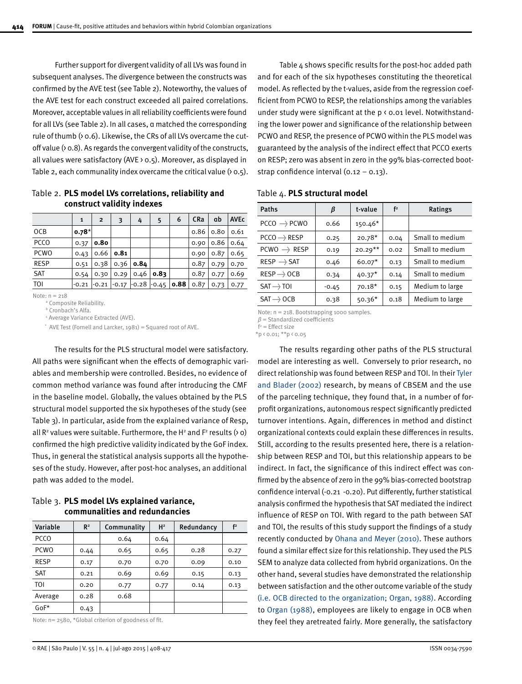Further support for divergent validity of all LVs was found in subsequent analyses. The divergence between the constructs was confirmed by the AVE test (see Table 2). Noteworthy, the values of the AVE test for each construct exceeded all paired correlations. Moreover, acceptable values in all reliability coefficients were found for all LVs (see Table 2). In all cases, α matched the corresponding rule of thumb (> o.6). Likewise, the CRs of all LVs overcame the cutoff value  $($  o.8). As regards the convergent validity of the constructs, all values were satisfactory (AVE > 0.5). Moreover, as displayed in Table 2, each communality index overcame the critical value  $(80.5)$ .

**construct validity indexes** 1 | 2 | 3 | 4 | 5 | 6 | CRa | αb | AVEc OCB **0.78**\* 0.86 0.80 0.61 PCCO 0.37 **0.80** 0.90 0.86 0.64

PCWO 0.43 0.66 **0.81** 0.90 0.87 0.65 RESP 0.51 0.38 0.36 **0.84** 0.87 0.79 0.70 SAT 0.54 0.30 0.29 0.46 **0.83** 0.87 0.77 0.69

Table 2. **PLS model LVs correlations, reliability and** 

TOI  $\Big|$ -0.21  $\Big|$ -0.21  $\Big|$ -0.17  $\Big|$ -0.28  $\Big|$ -0.45 **0.88**  $\Big|$  0.87  $\Big|$  0.73  $\Big|$  0.77

Note: n = 218

a Composite Reliability.

b Cronbach's Alfa.

c Average Variance Extracted (AVE).

\* AVE Test (Fornell and Larcker, 1981) = Squared root of AVE.

The results for the PLS structural model were satisfactory. All paths were significant when the effects of demographic variables and membership were controlled. Besides, no evidence of common method variance was found after introducing the CMF in the baseline model. Globally, the values obtained by the PLS structural model supported the six hypotheses of the study (see Table 3). In particular, aside from the explained variance of Resp, all  $\mathsf{R}^{\mathsf{2}}$  values were suitable. Furthermore, the H<sup>2</sup> and F<sup>2</sup> results (> 0) confirmed the high predictive validity indicated by the GoF index. Thus, in general the statistical analysis supports all the hypotheses of the study. However, after post-hoc analyses, an additional path was added to the model.

Table 3. **PLS model LVs explained variance, communalities and redundancies**

| Variable    | R <sup>2</sup> | Communality | H <sup>2</sup> | Redundancy | f <sup>2</sup> |
|-------------|----------------|-------------|----------------|------------|----------------|
| PCCO        |                | 0.64        | 0.64           |            |                |
| <b>PCWO</b> | 0.44           | 0.65        | 0.65           | 0.28       | 0.27           |
| <b>RESP</b> | 0.17           | 0.70        | 0.70           | 0.09       | 0.10           |
| <b>SAT</b>  | 0.21           | 0.69        | 0.69           | 0.15       | 0.13           |
| TOI         | 0.20           | 0.77        | 0.77           | 0.14       | 0.13           |
| Average     | 0.28           | 0.68        |                |            |                |
| $GoF*$      | 0.43           |             |                |            |                |

Note: n= 2580, \*Global criterion of goodness of fit.

Table 4 shows specific results for the post-hoc added path and for each of the six hypotheses constituting the theoretical model. As reflected by the t-values, aside from the regression coefficient from PCWO to RESP, the relationships among the variables under study were significant at the p < 0.01 level. Notwithstanding the lower power and significance of the relationship between PCWO and RESP, the presence of PCWO within the PLS model was guaranteed by the analysis of the indirect effect that PCCO exerts on RESP; zero was absent in zero in the 99% bias-corrected bootstrap confidence interval (0.12 – 0.13).

### Table 4. **PLS structural model**

| Paths                  | β       | t-value   | f <sup>2</sup> | Ratings         |
|------------------------|---------|-----------|----------------|-----------------|
| PCCO -----> PCWO       | 0.66    | $150.46*$ |                |                 |
| PCCO ------> RESP      | 0.25    | $20.78*$  | 0.04           | Small to medium |
| PCWO ----> RESP        | 0.19    | $20.29**$ | 0.02           | Small to medium |
| RESP - SAT             | 0.46    | $60.07*$  | 0.13           | Small to medium |
| $RESP \rightarrow OCB$ | 0.34    | $40.37*$  | 0.14           | Small to medium |
| SAT - FOI              | $-0.45$ | $70.18*$  | 0.15           | Medium to large |
| $SAT \rightarrow OCB$  | 0.38    | $50.36*$  | 0.18           | Medium to large |

Note: n = 218. Bootstrapping 1000 samples.

*β* = Standardized coefficients

 $f^2$  = Effect size

 $*p$  < 0.01;  $**p$  < 0.05

The results regarding other paths of the PLS structural model are interesting as well. Conversely to prior research, no direct relationship was found between RESP and TOI. In their [Tyler](#page-9-0)  [and Blader \(2002\)](#page-9-0) research, by means of CBSEM and the use of the parceling technique, they found that, in a number of forprofit organizations, autonomous respect significantly predicted turnover intentions. Again, differences in method and distinct organizational contexts could explain these differences in results. Still, according to the results presented here, there is a relationship between RESP and TOI, but this relationship appears to be indirect. In fact, the significance of this indirect effect was confirmed by the absence of zero in the 99% bias-corrected bootstrap confidence interval (-0.21 -0.20). Put differently, further statistical analysis confirmed the hypothesis that SAT mediated the indirect influence of RESP on TOI. With regard to the path between SAT and TOI, the results of this study support the findings of a study recently conducted by [Ohana and Meyer \(2010\)](#page-8-0). These authors found a similar effect size for this relationship. They used the PLS SEM to analyze data collected from hybrid organizations. On the other hand, several studies have demonstrated the relationship between satisfaction and the other outcome variable of the study [\(i.e. OCB directed to the organization; Organ, 1988\).](#page-8-0) According to [Organ \(1988\),](#page-8-0) employees are likely to engage in OCB when they feel they aretreated fairly. More generally, the satisfactory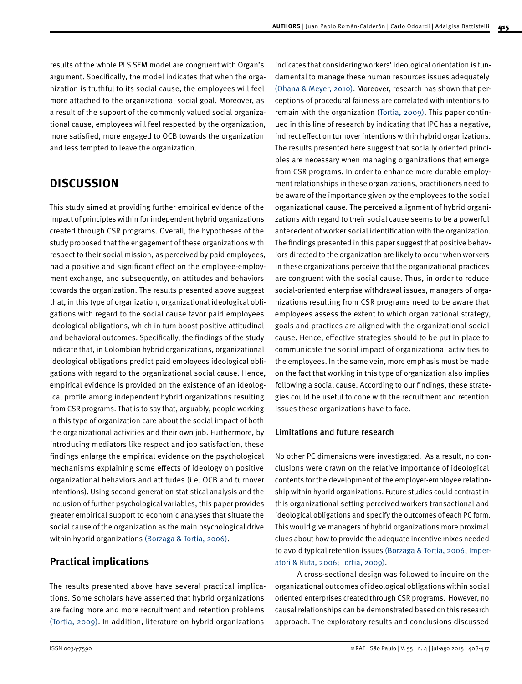results of the whole PLS SEM model are congruent with Organ's argument. Specifically, the model indicates that when the organization is truthful to its social cause, the employees will feel more attached to the organizational social goal. Moreover, as a result of the support of the commonly valued social organizational cause, employees will feel respected by the organization, more satisfied, more engaged to OCB towards the organization and less tempted to leave the organization.

# **DISCUSSION**

This study aimed at providing further empirical evidence of the impact of principles within for independent hybrid organizations created through CSR programs. Overall, the hypotheses of the study proposed that the engagement of these organizations with respect to their social mission, as perceived by paid employees, had a positive and significant effect on the employee-employment exchange, and subsequently, on attitudes and behaviors towards the organization. The results presented above suggest that, in this type of organization, organizational ideological obligations with regard to the social cause favor paid employees ideological obligations, which in turn boost positive attitudinal and behavioral outcomes. Specifically, the findings of the study indicate that, in Colombian hybrid organizations, organizational ideological obligations predict paid employees ideological obligations with regard to the organizational social cause. Hence, empirical evidence is provided on the existence of an ideological profile among independent hybrid organizations resulting from CSR programs. That is to say that, arguably, people working in this type of organization care about the social impact of both the organizational activities and their own job. Furthermore, by introducing mediators like respect and job satisfaction, these findings enlarge the empirical evidence on the psychological mechanisms explaining some effects of ideology on positive organizational behaviors and attitudes (i.e. OCB and turnover intentions). Using second-generation statistical analysis and the inclusion of further psychological variables, this paper provides greater empirical support to economic analyses that situate the social cause of the organization as the main psychological drive within hybrid organizations [\(Borzaga & Tortia, 2006\)](#page-8-0).

### **Practical implications**

The results presented above have several practical implications. Some scholars have asserted that hybrid organizations are facing more and more recruitment and retention problems [\(Tortia, 2009\).](#page-9-0) In addition, literature on hybrid organizations

indicates that considering workers' ideological orientation is fundamental to manage these human resources issues adequately [\(Ohana & Meyer, 2010\).](#page-8-0) Moreover, research has shown that perceptions of procedural fairness are correlated with intentions to remain with the organization [\(Tortia, 2009\).](#page-9-0) This paper continued in this line of research by indicating that IPC has a negative, indirect effect on turnover intentions within hybrid organizations. The results presented here suggest that socially oriented principles are necessary when managing organizations that emerge from CSR programs. In order to enhance more durable employment relationships in these organizations, practitioners need to be aware of the importance given by the employees to the social organizational cause. The perceived alignment of hybrid organizations with regard to their social cause seems to be a powerful antecedent of worker social identification with the organization. The findings presented in this paper suggest that positive behaviors directed to the organization are likely to occur when workers in these organizations perceive that the organizational practices are congruent with the social cause. Thus, in order to reduce social-oriented enterprise withdrawal issues, managers of organizations resulting from CSR programs need to be aware that employees assess the extent to which organizational strategy, goals and practices are aligned with the organizational social cause. Hence, effective strategies should to be put in place to communicate the social impact of organizational activities to the employees. In the same vein, more emphasis must be made on the fact that working in this type of organization also implies following a social cause. According to our findings, these strategies could be useful to cope with the recruitment and retention issues these organizations have to face.

### Limitations and future research

No other PC dimensions were investigated. As a result, no conclusions were drawn on the relative importance of ideological contents for the development of the employer-employee relationship within hybrid organizations. Future studies could contrast in this organizational setting perceived workers transactional and ideological obligations and specify the outcomes of each PC form. This would give managers of hybrid organizations more proximal clues about how to provide the adequate incentive mixes needed to avoid typical retention issues [\(Borzaga & Tortia, 2006; Imper](#page-8-0)[atori & Ruta, 2006;](#page-8-0) [Tortia, 2009\)](#page-9-0).

A cross-sectional design was followed to inquire on the organizational outcomes of ideological obligations within social oriented enterprises created through CSR programs. However, no causal relationships can be demonstrated based on this research approach. The exploratory results and conclusions discussed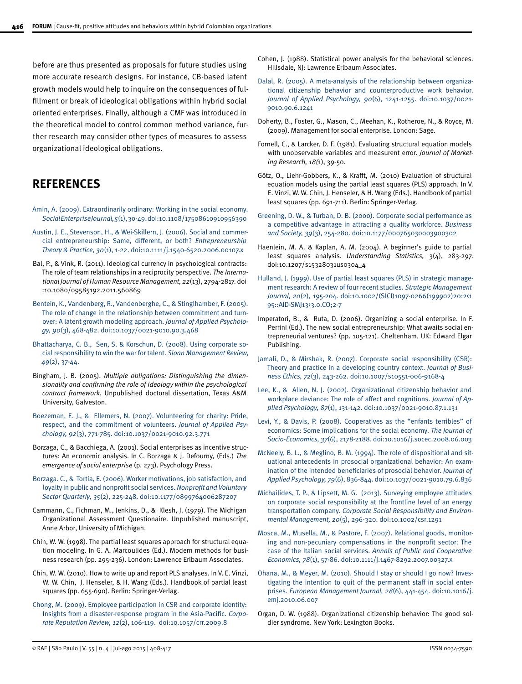<span id="page-8-0"></span>before are thus presented as proposals for future studies using more accurate research designs. For instance, CB-based latent growth models would help to inquire on the consequences of fulfillment or break of ideological obligations within hybrid social oriented enterprises. Finally, although a CMF was introduced in the theoretical model to control common method variance, further research may consider other types of measures to assess organizational ideological obligations.

## **REFERENCES**

- [Amin, A. \(2009\). Extraordinarily ordinary: Working in the social economy.](http://www.emeraldinsight.com/doi/pdfplus/10.1108/17508610910956390) *[Social Enterprise Journal, 5](http://www.emeraldinsight.com/doi/pdfplus/10.1108/17508610910956390)*(1), [30-49.](http://www.emeraldinsight.com/doi/pdfplus/10.1108/17508610910956390) doi:10.1108/17508610910956390
- [Austin, J. E., Stevenson, H., & Wei-Skillern, J. \(2006\). Social and commer](http://onlinelibrary.wiley.com/doi/10.1111/j.1540-6520.2006.00107.x/full)[cial entrepreneurship: Same, different, or both?](http://onlinelibrary.wiley.com/doi/10.1111/j.1540-6520.2006.00107.x/full) *Entrepreneurship [Theory & Practice, 30](http://onlinelibrary.wiley.com/doi/10.1111/j.1540-6520.2006.00107.x/full)*[\(1\), 1-22.](http://onlinelibrary.wiley.com/doi/10.1111/j.1540-6520.2006.00107.x/full) doi:10.1111/j.1540-6520.2006.00107.x
- Bal, P., & Vink, R. (2011). Ideological currency in psychological contracts: The role of team relationships in a reciprocity perspective. *The International Journal of Human Resource Management, 22*(13), 2794-2817. doi :10.1080/09585192.2011.560869
- [Bentein, K., Vandenberg, R., Vandenberghe, C., & Stinglhamber, F. \(2005\).](http://psycnet.apa.org/journals/apl/90/3/468.pdf) [The role of change in the relationship between commitment and turn](http://psycnet.apa.org/journals/apl/90/3/468.pdf)[over:](http://psycnet.apa.org/journals/apl/90/3/468.pdf) A [latent growth modeling a](http://psycnet.apa.org/journals/apl/90/3/468.pdf)pproach. *[Journal of Applied Psycholo](http://psycnet.apa.org/journals/apl/90/3/468.pdf)[gy, 90](http://psycnet.apa.org/journals/apl/90/3/468.pdf)*([3\), 468-482.](http://psycnet.apa.org/journals/apl/90/3/468.pdf) doi:10.1037/0021-9010.90.3.468
- [Bhattacharya, C. B., Sen, S. & Korschun, D. \(2008\). Using corporate so](http://papers.ssrn.com/sol3/papers.cfm?abstract_id=2333549)[cial responsibility to win the war for talent.](http://papers.ssrn.com/sol3/papers.cfm?abstract_id=2333549) *Sloan Management Review, [49](http://papers.ssrn.com/sol3/papers.cfm?abstract_id=2333549)*([2\), 37-44.](http://papers.ssrn.com/sol3/papers.cfm?abstract_id=2333549)
- Bingham, J. B. (2005). *Multiple obligations: Distinguishing the dimensionality and confirming the role of ideology within the psychological contract framework*. Unpublished doctoral dissertation, Texas A&M University, Galveston.
- [Boezeman, E. J., & Ellemers, N. \(2007\). Volunteering for charity: Pride,](http://psycnet.apa.org/journals/apl/92/3/771.pdf) [respect, and the commitment of volunteers.](http://psycnet.apa.org/journals/apl/92/3/771.pdf) *Journal of Applied Psychology, 92*[\(3\), 771-785. doi:10.1037/0021-9010.92.3.771](http://psycnet.apa.org/journals/apl/92/3/771.pdf)
- Borzaga, C., & Bacchiega, A. (2001). Social enterprises as incentive structures: An economic analysis. In C. Borzaga & J. Defourny, (Eds.) *The emergence of social enterprise* (p. 273). Psychology Press.
- [Borzaga. C., &](http://psycnet.apa.org/psycinfo/2007-06438-013) [Tortia, E. \(2006\). Worker motivations, job satisfaction, and](http://nvs.sagepub.com/content/35/2/225.abstract)  [loyalty in public and nonprofit social services.](http://nvs.sagepub.com/content/35/2/225.abstract) *Nonprofit and Voluntary [Sector Quarterly,](http://nvs.sagepub.com/content/35/2/225.abstract) [35](http://psycnet.apa.org/psycinfo/2007-06438-013)*([2\), 225-248.](http://psycnet.apa.org/psycinfo/2007-06438-013) doi:10.1177/0899764006287207
- Cammann, C., Fichman, M., Jenkins, D., & Klesh, J. (1979). The Michigan Organizational Assessment Questionaire. Unpublished manuscript, Anne Arbor, University of Michigan.
- Chin, W. W. (1998). The partial least squares approach for structural equation modeling. In G. A. Marcoulides (Ed.). Modern methods for business research (pp. 295-236). London: Lawrence Erlbaum Associates.
- Chin, W. W. (2010). How to write up and report PLS analyses. In V. E. Vinzi, W. W. Chin, J. Henseler, & H. Wang (Eds.). Handbook of partial least squares (pp. 655-690). Berlin: Springer-Verlag.
- [Chong, M. \(2009\). Employee participation in CSR and corporate identity:](http://www.palgrave-journals.com/crr/journal/v12/n2/full/crr20098a.html)  I[nsights from a disaster-response program in the Asia-Pacific.](http://www.palgrave-journals.com/crr/journal/v12/n2/full/crr20098a.html) *Corpo[rate Reputation Review, 1](http://www.palgrave-journals.com/crr/journal/v12/n2/full/crr20098a.html)2*([2\), 106-119.](http://www.palgrave-journals.com/crr/journal/v12/n2/full/crr20098a.html) doi:10.1057/crr.2009.8
- Cohen, J. (1988). Statistical power analysis for the behavioral sciences. Hillsdale, NJ: Lawrence Erlbaum Associates.
- [Dalal, R. \(2005\). A meta-analysis of the relationship between organiza](http://psycnet.apa.org/journals/apl/90/6/1241.pdf)[tional citizenship behavior and counterproductive work behavior.](http://psycnet.apa.org/journals/apl/90/6/1241.pdf)  *[Journal of Applied Psychology, 90](http://psycnet.apa.org/journals/apl/90/6/1241.pdf)*[\(6\), 1241-1255.](http://psycnet.apa.org/journals/apl/90/6/1241.pdf) doi:10.1037/0021- 9010.90.6.1241
- Doherty, B., Foster, G., Mason, C., Meehan, K., Rotheroe, N., & Royce, M. (2009). Management for social enterprise. London: Sage.
- Fornell, C., & Larcker, D. F. (1981). Evaluating structural equation models with unobservable variables and measurent error. *Journal of Marketing Research, 18(*1), 39-50.
- Götz, O., Liehr-Gobbers, K., & Krafft, M. (2010) Evaluation of structural equation models using the partial least squares (PLS) approach. In V. E. Vinzi, W. W. Chin, J. Henseler, & H. Wang (Eds.). Handbook of partial least squares (pp. 691-711). Berlin: Springer-Verlag.
- [Greening, D. W., & Turban, D. B. \(2000\). Corporate social performance as](http://bas.sagepub.com/content/39/3/254)  [a competitive advantage in attracting a quality workforce.](http://bas.sagepub.com/content/39/3/254) *Business [and Society, 39](http://bas.sagepub.com/content/39/3/254)*([3\), 254-280.](http://bas.sagepub.com/content/39/3/254) doi:10.1177/000765030003900302
- Haenlein, M. A. & Kaplan, A. M. (2004). A beginner's guide to partial least squares analysis. *Understanding Statistics,* 3(4), 283-297. doi:10.1207/s15328031us0304\_4
- [Hulland, J.](http://onlinelibrary.wiley.com/doi/10.1002/%2528sici%25291097-0266%2528199902%252920:2%253c195::aid-smj13%253e3.0.co;2-7/abstract) (1999). [Use of partial least squares \(PLS\) in strategic manage](http://onlinelibrary.wiley.com/doi/10.1002/(SICI)1097-0266(199902)20:2%3C195::AID-SMJ13%3E3.0.CO;2-7/abstract)[ment research: A review of four recent studies](http://onlinelibrary.wiley.com/doi/10.1002/(SICI)1097-0266(199902)20:2%3C195::AID-SMJ13%3E3.0.CO;2-7/abstract). *Strategic Management Journal, [20](http://onlinelibrary.wiley.com/doi/10.1002/%2528sici%25291097-0266%2528199902%252920:2%253c195::aid-smj13%253e3.0.co;2-7/abstract)*[\(2\), 1](http://onlinelibrary.wiley.com/doi/10.1002/%2528sici%25291097-0266%2528199902%252920:2%253c195::aid-smj13%253e3.0.co;2-7/abstract)95-204[.](http://onlinelibrary.wiley.com/doi/10.1002/%2528sici%25291097-0266%2528199902%252920:2%253c195::aid-smj13%253e3.0.co;2-7/abstract) doi:10.1002/(SICI)1097-0266(199902)20:2<1 95::AID-SMJ13>3.0.CO;2-7
- Imperatori, B., & Ruta, D. (2006). Organizing a social enterprise. In F. Perrini (Ed.). The new social entrepreneurship: What awaits social entrepreneurial ventures? (pp. 105-121). Cheltenham, UK: Edward Elgar Publishing.
- [Jamali, D., & Mirshak, R. \(2007\). Corporate social responsibility \(CSR\):](http://www.jstor.org/discover/10.2307/25075377?sid=21106180708543&uid=67&uid=3&uid=373354101&uid=2&uid=931416&uid=5909624&uid=62&uid=3737664)  T[heory and practice in a developing country context.](http://www.jstor.org/discover/10.2307/25075377?sid=21106180708543&uid=67&uid=3&uid=373354101&uid=2&uid=931416&uid=5909624&uid=62&uid=3737664) *Journal of Busi[ness Ethics, 72](http://www.jstor.org/discover/10.2307/25075377?sid=21106180708543&uid=67&uid=3&uid=373354101&uid=2&uid=931416&uid=5909624&uid=62&uid=3737664)*[\(3\), 243-262.](http://www.jstor.org/discover/10.2307/25075377?sid=21106180708543&uid=67&uid=3&uid=373354101&uid=2&uid=931416&uid=5909624&uid=62&uid=3737664) doi:10.1007/s10551-006-9168-4
- [Lee, K., & Allen, N. J. \(2002\). Organizational citizenship behavior and](http://psycnet.apa.org/journals/apl/87/1/131/)  [workplace deviance: The role of affect and cognitions.](http://psycnet.apa.org/journals/apl/87/1/131/) *Journal of Ap[plied Psychology, 87](http://psycnet.apa.org/journals/apl/87/1/131/)*[\(1\), 131-142.](http://psycnet.apa.org/journals/apl/87/1/131/) doi:10.1037/0021-9010.87.1.131
- [Levi, Y., & Davis, P. \(2008\). Cooperatives as the "enfants terribles" of](http://www.sciencedirect.com/science/article/pii/s105353570800111x)  [economics: Some implications for the social economy.](http://www.sciencedirect.com/science/article/pii/s105353570800111x) *The Journal of [Socio-Economics, 37](http://www.sciencedirect.com/science/article/pii/s105353570800111x)*[\(6\), 2178-2188.](http://www.sciencedirect.com/science/article/pii/s105353570800111x) doi:10.1016/j.socec.2008.06.003
- [McNeely, B. L., & Meglino, B. M. \(1994\). The role of dispositional and sit](http://psycnet.apa.org/journals/apl/79/6/836.html)[uational antecedents in prosocial organizational behavior: An exam](http://psycnet.apa.org/journals/apl/79/6/836.html)[ination of the intended beneficiaries of prosocial behavior.](http://psycnet.apa.org/journals/apl/79/6/836.html) *Journal of Applied Psychology, 79*[\(6\), 836-844. doi:10.1037/0021-9010.79.6.836](http://psycnet.apa.org/journals/apl/79/6/836.html)
- [Michailides, T. P., & Lipsett, M. G. \(2013\). Surveying employee attitudes](http://onlinelibrary.wiley.com/doi/10.1002/csr.1291/abstract)  [on corporate social responsibility at the frontline level of an energy](http://onlinelibrary.wiley.com/doi/10.1002/csr.1291/abstract)  transportation company. *[Corporate Social Responsibility and Environ](http://onlinelibrary.wiley.com/doi/10.1002/csr.1291/abstract)[mental Management, 20](http://onlinelibrary.wiley.com/doi/10.1002/csr.1291/abstract)*[\(5\), 296-320.](http://onlinelibrary.wiley.com/doi/10.1002/csr.1291/abstract) doi:10.1002/csr.1291
- [Mosca, M., Musella, M., & Pastore, F. \(2007\). Relational goods, monitor](http://onlinelibrary.wiley.com/doi/10.1111/j.1467-8292.2007.00327.x/abstract)[ing and non-pecuniary compensations in the nonprofit sector: The](http://onlinelibrary.wiley.com/doi/10.1111/j.1467-8292.2007.00327.x/abstract)  [case of the Italian social services.](http://onlinelibrary.wiley.com/doi/10.1111/j.1467-8292.2007.00327.x/abstract) *Annals of Public and Cooperative [Economics, 78](http://onlinelibrary.wiley.com/doi/10.1111/j.1467-8292.2007.00327.x/abstract)*[\(1\), 57-86.](http://onlinelibrary.wiley.com/doi/10.1111/j.1467-8292.2007.00327.x/abstract) doi:10.1111/j.1467-8292.2007.00327.x
- [Ohana, M., & Meyer, M. \(2010\). Should I stay or should I go now? Inves](http://www.sciencedirect.com/science/article/pii/S0263237310000502)[tigating the intention to quit of the permanent staff in social enter](http://www.sciencedirect.com/science/article/pii/S0263237310000502)prises. *[European Management Journal, 28](http://www.sciencedirect.com/science/article/pii/S0263237310000502)*(6), 441-454. doi:10.1016/j. [emj.2010.06.007](http://www.sciencedirect.com/science/article/pii/S0263237310000502)
- Organ, D. W. (1988). Organizational citizenship behavior: The good soldier syndrome. New York: Lexington Books.